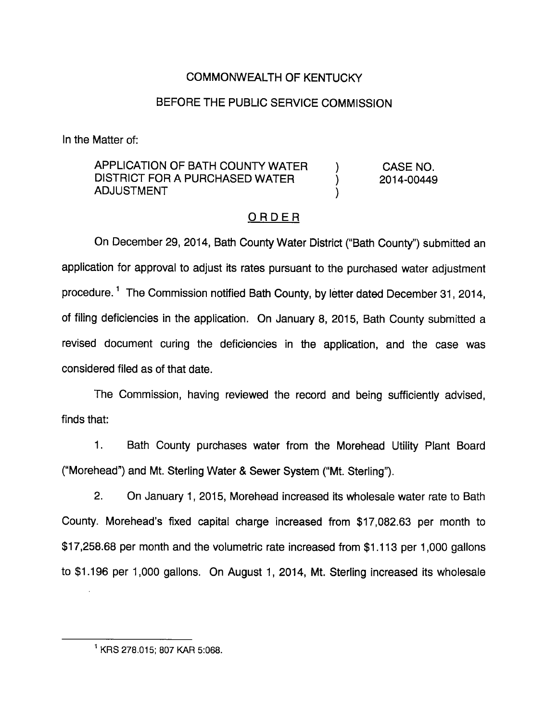## COMMONWEALTH OF KENTUCKY

### BEFORE THE PUBLIC SERVICE COMMISSION

In the Matter of:

APPLICATION OF BATH COUNTY WATER ) CASE NO. DISTRICT FOR A PURCHASED WATER  $\qquad \qquad$  2014-00449 ADJUSTMENT (1)

## ORDER

On December 29, 2014, Bath County Water District ("Bath County") submitted an application for approval to adjust its rates pursuant to the purchased water adjustment procedure.<sup>1</sup> The Commission notified Bath County, by letter dated December 31, 2014, of filing deficiencies in the application. On January 8, 2015, Bath County submitted a revised document curing the deficiencies in the application, and the case was considered filed as of that date.

The Commission, having reviewed the record and being sufficiently advised, finds that:

1. Bath County purchases water from the Morehead Utility Plant Board ("Morehead") and Mt. Sterling Water & Sewer System ("Mt. Sterling").

2. On January 1, 2015, Morehead increased its wholesale water rate to Bath County. Morehead's fixed capital charge increased from \$17,082.63 per month to \$17,258.68 per month and the volumetric rate increased from \$1.113 per 1,000 gallons to \$1,196 per 1,000 gallons. On August 1, 2014, Mt. Sterling increased its wholesale

<sup>&</sup>lt;sup>1</sup> KRS 278.015; 807 KAR 5:068.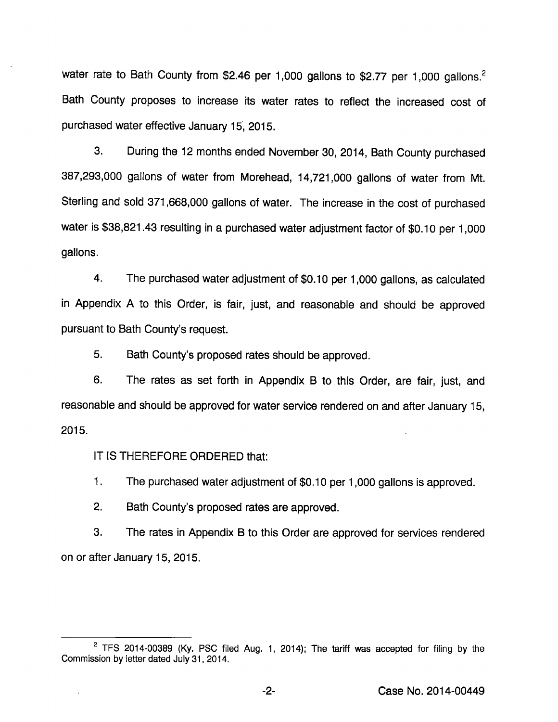water rate to Bath County from \$2.46 per 1,000 gallons to \$2.77 per 1,000 gallons.<sup>2</sup> Bath County proposes to increase its water rates to reflect the increased cost of purchased water effective January 15, 2015.

3. During the 12 months ended November 30, 2014, Bath County purchased 387,293,000 gallons of water from Morehead, 14,721,000 gallons of water from Mt. Sterling and sold 371,668,000 gallons of water. The increase in the cost of purchased water is \$38,821.43 resulting in a purchased water adjustment factor of \$0.10 per 1,000 gallons.

4. The purchased water adjustment of \$0.10 per 1,000 gallons, as calculated in Appendix A to this Order, is fair, just, and reasonable and should be approved pursuant to Bath County's request.

5. Bath County's proposed rates should be approved.

6. The rates as set forth in Appendix B to this Order, are fair, just, and reasonable and should be approved for water service rendered on and after January 15, 2015.

IT IS THEREFORE ORDERED that:

1. The purchased water adjustment of \$0.10 per 1,000 gallons is approved.

2. Bath County's proposed rates are approved.

3. The rates in Appendix B to this Order are approved for services rendered on or after January 15, 2015.

 $2$  TFS 2014-00389 (Ky. PSC filed Aug. 1, 2014); The tariff was accepted for filing by the Commission by letter dated July 31, 2014.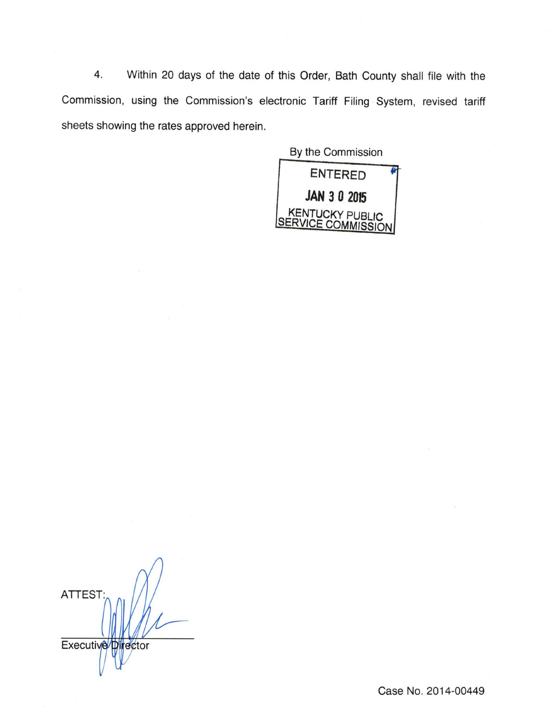4. Within 20 days of the date of this Order, Bath County shall file with the Commission, using the Commission's electronic Tariff Filing System, revised tariff sheets showing the rates approved herein.

> By the Commission entered JAN 3 0 2015 KENTUCKY PUBLIC<br>SERVICE COMMISSION

ATTEST: **Executive** ector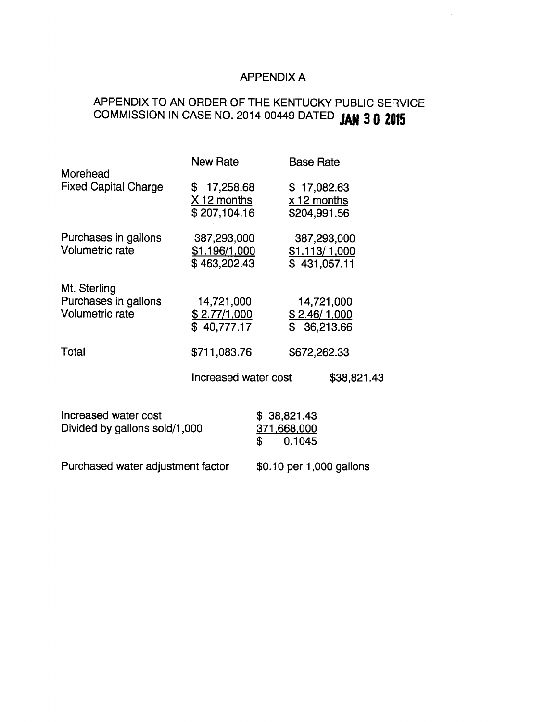# APPENDIX A

# APPENDIX TO AN ORDER OF THE KENTUCKY PUBLIC SERVICE COMMISSION IN CASE NO. 2014-00449 DATED JAN 3 0 2015

| Morehead                                                       | <b>New Rate</b>                              |                                            | <b>Base Rate</b>                                    |  |  |
|----------------------------------------------------------------|----------------------------------------------|--------------------------------------------|-----------------------------------------------------|--|--|
| <b>Fixed Capital Charge</b>                                    | \$17,258.68<br>X 12 months<br>\$207,104.16   |                                            | \$17,082.63<br>$x$ 12 months<br>\$204,991.56        |  |  |
| Purchases in gallons<br><b>Volumetric rate</b>                 | 387,293,000<br>\$1.196/1,000<br>\$463,202.43 |                                            | 387,293,000<br><u>\$1.113/1,000</u><br>\$431,057.11 |  |  |
| Mt. Sterling<br>Purchases in gallons<br><b>Volumetric rate</b> | 14,721,000<br>\$2.77/1,000<br>\$40,777.17    |                                            | 14,721,000<br>\$2.46/1,000<br>\$36,213.66           |  |  |
| Total                                                          | \$711,083.76                                 |                                            | \$672,262.33                                        |  |  |
|                                                                | Increased water cost                         |                                            | \$38,821.43                                         |  |  |
| Increased water cost<br>Divided by gallons sold/1,000          |                                              | \$38,821.43<br>371,668,000<br>\$<br>0.1045 |                                                     |  |  |

Purchased water adjustment factor \$0.10 per 1,000 gallons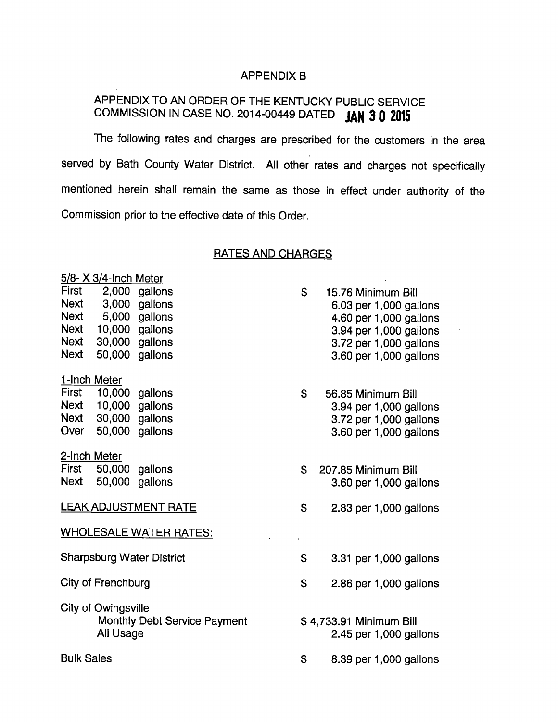### APPENDIX B

# APPENDIX TO AN ORDER OF THE KENTUCKY PUBLIC SERVICE COMMISSION IN CASE NO. 2014-00449 DATED JAN 3 0 2015

The following rates and charges are prescribed for the customers in the area served by Bath County Water District. All other rates and charges not specifically mentioned herein shall remain the same as those in effect under authority of the Commission prior to the effective date of this Order.

### RATES AND CHARGES

|                    | 5/8- X 3/4-Inch Meter |                                  |                        |                                                   |  |
|--------------------|-----------------------|----------------------------------|------------------------|---------------------------------------------------|--|
| First              |                       | 2,000 gallons                    | \$                     | 15.76 Minimum Bill                                |  |
| Next               |                       | 3,000 gallons                    |                        | 6.03 per 1,000 gallons                            |  |
| Next               |                       | 5,000 gallons                    |                        | 4.60 per 1,000 gallons                            |  |
| Next               | 10,000 gallons        |                                  |                        | 3.94 per 1,000 gallons                            |  |
| Next               | 30,000 gallons        |                                  |                        | 3.72 per 1,000 gallons                            |  |
| Next               |                       | 50,000 gallons                   |                        | 3.60 per 1,000 gallons                            |  |
|                    | 1-Inch Meter          |                                  |                        |                                                   |  |
| First              | 10,000 gallons        |                                  | \$                     | 56.85 Minimum Bill                                |  |
|                    | Next 10,000 gallons   |                                  |                        | 3.94 per 1,000 gallons                            |  |
|                    | Next 30,000 gallons   |                                  |                        | 3.72 per 1,000 gallons                            |  |
| Over               |                       | 50,000 gallons                   |                        | 3.60 per 1,000 gallons                            |  |
|                    | 2-Inch Meter          |                                  |                        |                                                   |  |
|                    | First 50,000 gallons  |                                  | \$                     | 207.85 Minimum Bill                               |  |
| Next               |                       | 50,000 gallons                   |                        | 3.60 per 1,000 gallons                            |  |
|                    |                       | <b>LEAK ADJUSTMENT RATE</b>      | \$                     | 2.83 per 1,000 gallons                            |  |
|                    |                       |                                  |                        |                                                   |  |
|                    |                       | <b>WHOLESALE WATER RATES:</b>    |                        |                                                   |  |
|                    |                       | <b>Sharpsburg Water District</b> | \$                     | 3.31 per 1,000 gallons                            |  |
| City of Frenchburg |                       | \$                               | 2.86 per 1,000 gallons |                                                   |  |
|                    |                       |                                  |                        |                                                   |  |
|                    | City of Owingsville   |                                  |                        |                                                   |  |
|                    | All Usage             | Monthly Debt Service Payment     |                        | \$4,733.91 Minimum Bill<br>2.45 per 1,000 gallons |  |
|                    |                       |                                  |                        |                                                   |  |
| <b>Bulk Sales</b>  |                       |                                  | \$                     | 8.39 per 1,000 gallons                            |  |
|                    |                       |                                  |                        |                                                   |  |